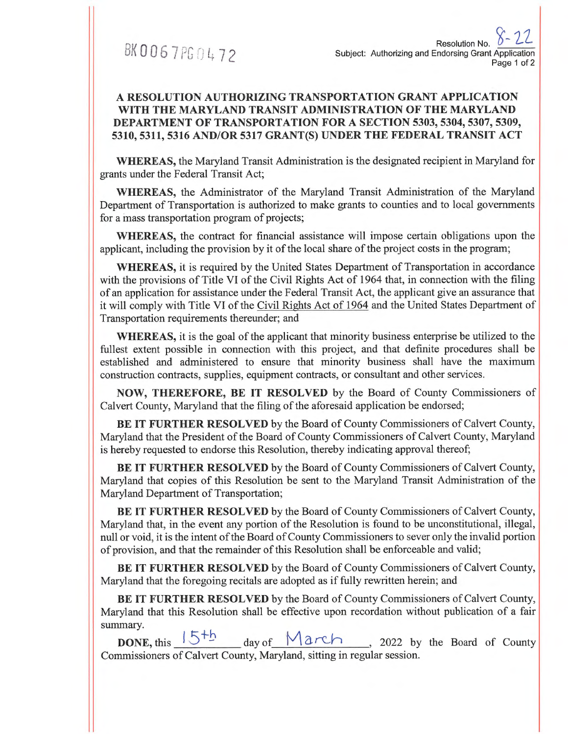BK0067PG0472

## **A RESOLUTION AUTHORIZING TRANSPORTATION GRANT APPLICATION WITH THE MARYLAND TRANSIT ADMINISTRATION OF THE MARYLAND DEPARTMENT OF TRANSPORTATION FOR A SECTION 5303, 5304, 5307, 5309, 5310, 5311, 5316 AND/OR 5317 GRANT(S) UNDER THE FEDERAL TRANSIT ACT**

**WHEREAS,** the Maryland Transit Administration is the designated recipient in Maryland for grants under the Federal Transit Act;

**WHEREAS,** the Administrator of the Maryland Transit Administration of the Maryland Department of Transportation is authorized to make grants to counties and to local governments for a mass transportation program of projects;

**WHEREAS,** the contract for financial assistance will impose certain obligations upon the applicant, including the provision by it of the local share of the project costs in the program;

**WHEREAS,** it is required by the United States Department of Transportation in accordance with the provisions of Title VI of the Civil Rights Act of 1964 that, in connection with the filing of an application for assistance under the Federal Transit Act, the applicant give an assurance that it will comply with Title VI of the Civil Rights Act of 1964 and the United States Department of Transportation requirements thereunder; and

**WHEREAS,** it is the goal of the applicant that minority business enterprise be utilized to the fullest extent possible in connection with this project, and that definite procedures shall be established and administered to ensure that minority business shall have the maximum construction contracts, supplies, equipment contracts, or consultant and other services.

**NOW, THEREFORE, BE IT RESOLVED** by the Board of County Commissioners of Calvert County, Maryland that the filing of the aforesaid application be endorsed;

**BE IT FURTHER RESOLVED** by the Board of County Commissioners of Calvert County, Maryland that the President of the Board of County Commissioners of Calvert County, Maryland is hereby requested to endorse this Resolution, thereby indicating approval thereof;

**BE IT FURTHER RESOLVED** by the Board of County Commissioners of Calvert County, Maryland that copies of this Resolution be sent to the Maryland Transit Administration of the Maryland Department of Transportation;

**BE IT FURTHER RESOLVED** by the Board of County Commissioners of Calvert County, Maryland that, in the event any portion of the Resolution is found to be unconstitutional, illegal, null or void, it is the intent of the Board of County Commissioners to sever only the invalid portion of provision, and that the remainder of this Resolution shall be enforceable and valid;

**BE IT FURTHER RESOLVED** by the Board of County Commissioners of Calvert County, Maryland that the foregoing recitals are adopted as if fully rewritten herein; and

**BE IT FURTHER RESOLVED** by the Board of County Commissioners of Calvert County, Maryland that this Resolution shall be effective upon recordation without publication of a fair summary.

**DONE,** this  $\frac{5+b}{5}$  day of  $\frac{15+b}{5}$ , 2022 by the Board of County Commissioners of Calvert County, Maryland, sitting in regular session.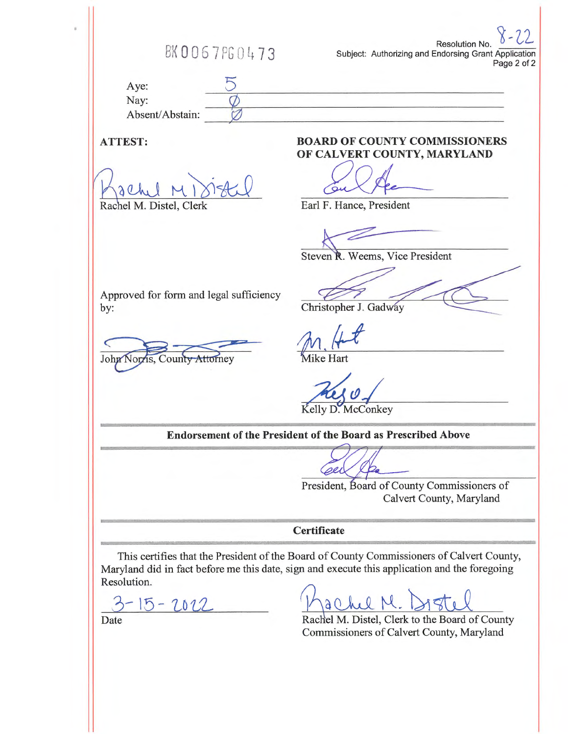Resolution No. BK 0067 PG 0473 Subject: Authorizing and Endorsing Grant Application Page 2 of 2 Aye:  $\frac{5}{1}$ Nay: Absent/Abstain:  $\chi$ **ATTEST: BOARD OF COUNTY COMMISSIONERS OF CALVERT COUNTY, MARYLAND**  achel Earl F. Hance, President Rachel M. Distel, Clerk Steven R. Weems, Vice President Approved for form and legal sufficiency C Christopher J. Gadway by: John Norris. **Tike Hart** County Attorney Kelly D. McConkey Endorsement of the **President of the Board as Prescribed Above**  Cel President, Board of County Commissioners of Calvert County, Maryland **Certificate**  .<br>Listori This certifies that the **President of** the Board of County Commissioners of Calvert County, Maryland did in **fact before me this** date, sign and execute this application and the foregoing Resolution.  $\frac{3 - 15 - 2012}{\text{Date}}$ 

Rachel M. Distel, Clerk to the Board of County Commissioners of Calvert County, Maryland